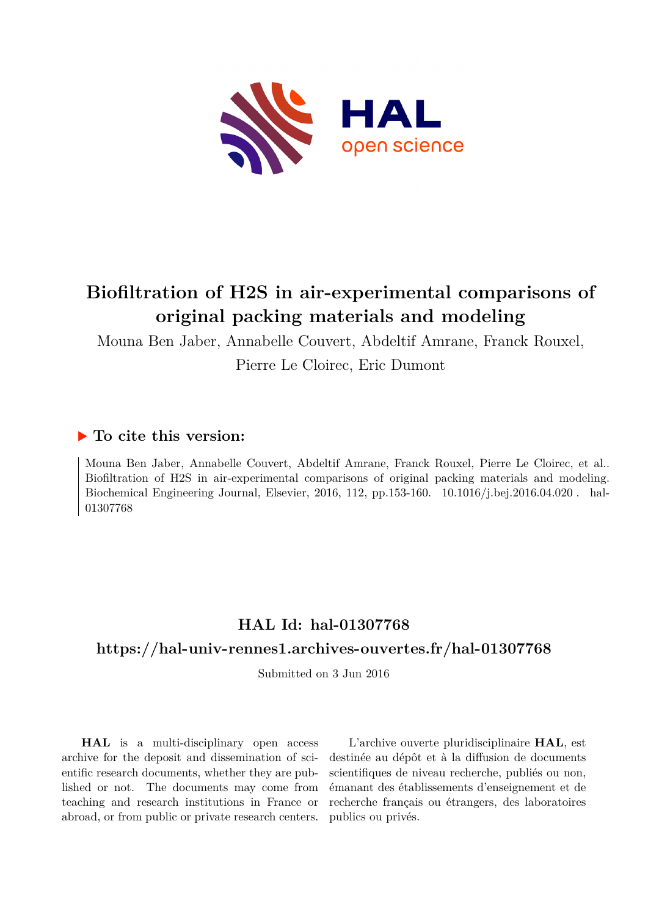

# **Biofiltration of H2S in air-experimental comparisons of original packing materials and modeling**

Mouna Ben Jaber, Annabelle Couvert, Abdeltif Amrane, Franck Rouxel, Pierre Le Cloirec, Eric Dumont

# **To cite this version:**

Mouna Ben Jaber, Annabelle Couvert, Abdeltif Amrane, Franck Rouxel, Pierre Le Cloirec, et al.. Biofiltration of H2S in air-experimental comparisons of original packing materials and modeling. Biochemical Engineering Journal, Elsevier, 2016, 112, pp.153-160. 10.1016/j.bej.2016.04.020. hal-01307768ff

# **HAL Id: hal-01307768**

# **<https://hal-univ-rennes1.archives-ouvertes.fr/hal-01307768>**

Submitted on 3 Jun 2016

**HAL** is a multi-disciplinary open access archive for the deposit and dissemination of scientific research documents, whether they are published or not. The documents may come from teaching and research institutions in France or abroad, or from public or private research centers.

L'archive ouverte pluridisciplinaire **HAL**, est destinée au dépôt et à la diffusion de documents scientifiques de niveau recherche, publiés ou non, émanant des établissements d'enseignement et de recherche français ou étrangers, des laboratoires publics ou privés.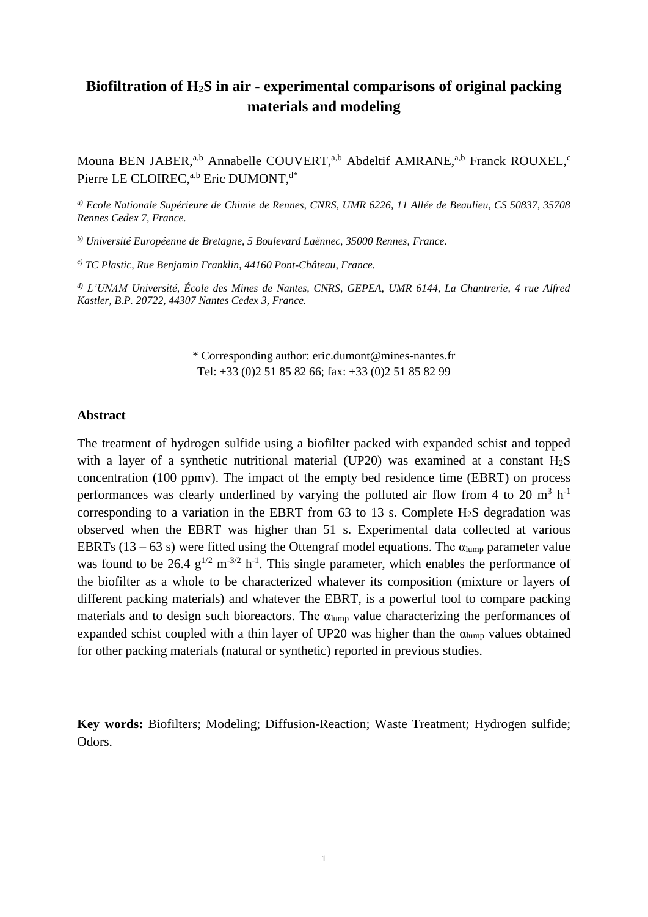# **Biofiltration of H2S in air - experimental comparisons of original packing materials and modeling**

Mouna BEN JABER,<sup>a,b</sup> Annabelle COUVERT,<sup>a,b</sup> Abdeltif AMRANE,<sup>a,b</sup> Franck ROUXEL,<sup>c</sup> Pierre LE CLOIREC,<sup>a,b</sup> Eric DUMONT,<sup>d\*</sup>

*a) Ecole Nationale Supérieure de Chimie de Rennes, CNRS, UMR 6226, 11 Allée de Beaulieu, CS 50837, 35708 Rennes Cedex 7, France.*

*b) Université Européenne de Bretagne, 5 Boulevard Laënnec, 35000 Rennes, France.*

*c) TC Plastic, Rue Benjamin Franklin, 44160 Pont-Château, France.*

*d) L'UNAM Université, École des Mines de Nantes, CNRS, GEPEA, UMR 6144, La Chantrerie, 4 rue Alfred Kastler, B.P. 20722, 44307 Nantes Cedex 3, France.*

> \* Corresponding author: eric.dumont@mines-nantes.fr Tel: +33 (0)2 51 85 82 66; fax: +33 (0)2 51 85 82 99

#### **Abstract**

The treatment of hydrogen sulfide using a biofilter packed with expanded schist and topped with a layer of a synthetic nutritional material (UP20) was examined at a constant  $H_2S$ concentration (100 ppmv). The impact of the empty bed residence time (EBRT) on process performances was clearly underlined by varying the polluted air flow from 4 to 20  $m^3$  h<sup>-1</sup> corresponding to a variation in the EBRT from 63 to 13 s. Complete  $H_2S$  degradation was observed when the EBRT was higher than 51 s. Experimental data collected at various EBRTs (13 – 63 s) were fitted using the Ottengraf model equations. The  $\alpha_{\text{lump}}$  parameter value was found to be 26.4  $g^{1/2}$  m<sup>-3/2</sup> h<sup>-1</sup>. This single parameter, which enables the performance of the biofilter as a whole to be characterized whatever its composition (mixture or layers of different packing materials) and whatever the EBRT, is a powerful tool to compare packing materials and to design such bioreactors. The  $\alpha_{\text{lump}}$  value characterizing the performances of expanded schist coupled with a thin layer of UP20 was higher than the  $\alpha_{\text{lump}}$  values obtained for other packing materials (natural or synthetic) reported in previous studies.

**Key words:** Biofilters; Modeling; Diffusion-Reaction; Waste Treatment; Hydrogen sulfide; Odors.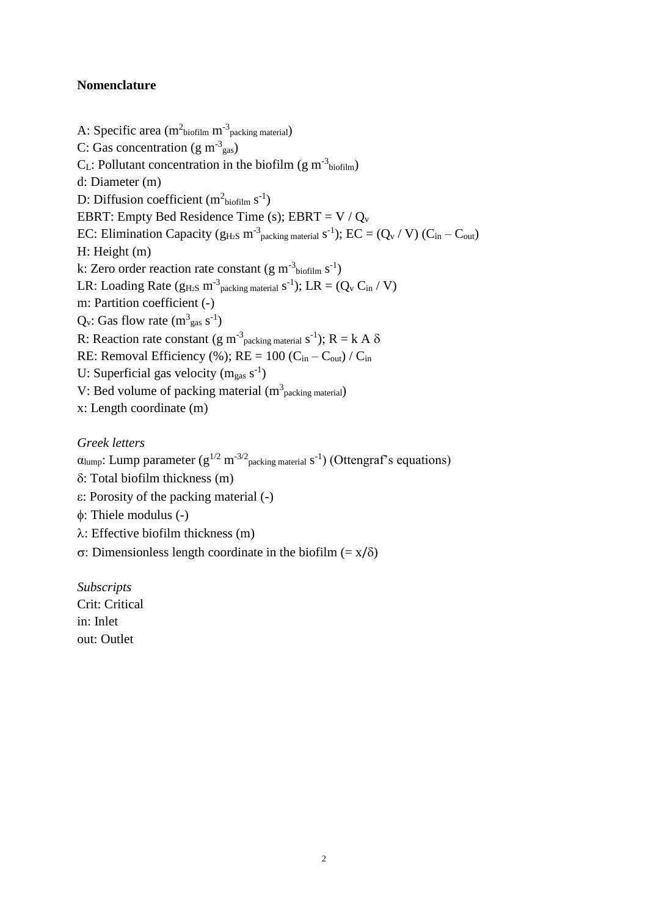# **Nomenclature**

A: Specific area  $(m^2_{\text{biofilm}} m^3_{\text{packing material}})$ C: Gas concentration (g m<sup>-3</sup> gas)  $C_{L}$ : Pollutant concentration in the biofilm (g m<sup>-3</sup>biofilm) d: Diameter (m) D: Diffusion coefficient  $(m<sup>2</sup>biofilm s<sup>-1</sup>)$ EBRT: Empty Bed Residence Time (s); EBRT =  $V / Q_v$ EC: Elimination Capacity ( $g_{H_2S}$  m<sup>-3</sup> packing material s<sup>-1</sup>); EC = (Q<sub>v</sub> / V) (C<sub>in</sub> – C<sub>out</sub>) H: Height (m) k: Zero order reaction rate constant (g m<sup>-3</sup>biofilm s<sup>-1</sup>) LR: Loading Rate ( $g_{H_2S}$  m<sup>-3</sup> packing material  $s^{-1}$ ); LR = ( $Q_v$  C<sub>in</sub> / V) m: Partition coefficient (-)  $Q_v$ : Gas flow rate  $(m<sup>3</sup><sub>gas</sub> s<sup>-1</sup>)$ R: Reaction rate constant (g m<sup>-3</sup> packing material s<sup>-1</sup>); R = k A  $\delta$ RE: Removal Efficiency (%);  $RE = 100$  ( $C_{in} - C_{out}$ ) /  $C_{in}$ U: Superficial gas velocity  $(m_{gas} s^{-1})$ V: Bed volume of packing material  $(m^3)$ <sub>packing material</sub>) x: Length coordinate (m)

# *Greek letters*

 $\alpha$ lump: Lump parameter (g<sup>1/2</sup> m<sup>-3/2</sup> packing material s<sup>-1</sup>) (Ottengraf's equations)

- : Total biofilm thickness (m)
- : Porosity of the packing material (-)
- $φ$ : Thiele modulus (-)
- $\lambda$ : Effective biofilm thickness (m)

 $\sigma$ : Dimensionless length coordinate in the biofilm (= x/ $\delta$ )

*Subscripts* Crit: Critical in: Inlet out: Outlet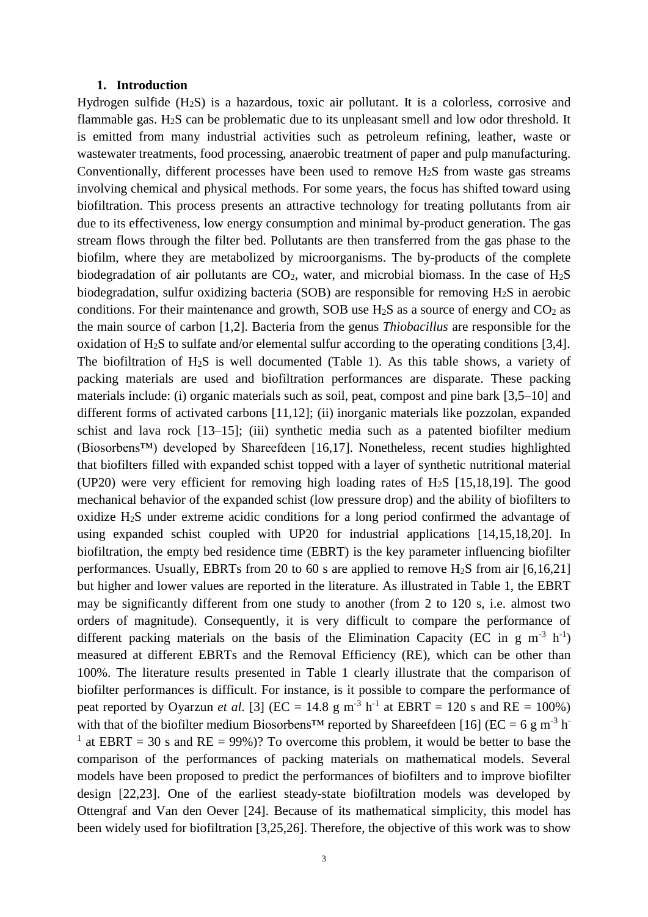#### **1. Introduction**

Hydrogen sulfide (H2S) is a hazardous, toxic air pollutant. It is a colorless, corrosive and flammable gas. H2S can be problematic due to its unpleasant smell and low odor threshold. It is emitted from many industrial activities such as petroleum refining, leather, waste or wastewater treatments, food processing, anaerobic treatment of paper and pulp manufacturing. Conventionally, different processes have been used to remove  $H<sub>2</sub>S$  from waste gas streams involving chemical and physical methods. For some years, the focus has shifted toward using biofiltration. This process presents an attractive technology for treating pollutants from air due to its effectiveness, low energy consumption and minimal by-product generation. The gas stream flows through the filter bed. Pollutants are then transferred from the gas phase to the biofilm, where they are metabolized by microorganisms. The by-products of the complete biodegradation of air pollutants are  $CO<sub>2</sub>$ , water, and microbial biomass. In the case of H<sub>2</sub>S biodegradation, sulfur oxidizing bacteria (SOB) are responsible for removing  $H_2S$  in aerobic conditions. For their maintenance and growth, SOB use  $H_2S$  as a source of energy and  $CO_2$  as the main source of carbon [1,2]. Bacteria from the genus *Thiobacillus* are responsible for the oxidation of H2S to sulfate and/or elemental sulfur according to the operating conditions [3,4]. The biofiltration of H2S is well documented (Table 1). As this table shows, a variety of packing materials are used and biofiltration performances are disparate. These packing materials include: (i) organic materials such as soil, peat, compost and pine bark [3,5–10] and different forms of activated carbons [11,12]; (ii) inorganic materials like pozzolan, expanded schist and lava rock [13–15]; (iii) synthetic media such as a patented biofilter medium (Biosorbens™) developed by Shareefdeen [16,17]. Nonetheless, recent studies highlighted that biofilters filled with expanded schist topped with a layer of synthetic nutritional material (UP20) were very efficient for removing high loading rates of  $H<sub>2</sub>S$  [15,18,19]. The good mechanical behavior of the expanded schist (low pressure drop) and the ability of biofilters to oxidize H2S under extreme acidic conditions for a long period confirmed the advantage of using expanded schist coupled with UP20 for industrial applications [14,15,18,20]. In biofiltration, the empty bed residence time (EBRT) is the key parameter influencing biofilter performances. Usually, EBRTs from 20 to 60 s are applied to remove  $H_2S$  from air [6,16,21] but higher and lower values are reported in the literature. As illustrated in Table 1, the EBRT may be significantly different from one study to another (from 2 to 120 s, i.e. almost two orders of magnitude). Consequently, it is very difficult to compare the performance of different packing materials on the basis of the Elimination Capacity (EC in  $g$  m<sup>-3</sup> h<sup>-1</sup>) measured at different EBRTs and the Removal Efficiency (RE), which can be other than 100%. The literature results presented in Table 1 clearly illustrate that the comparison of biofilter performances is difficult. For instance, is it possible to compare the performance of peat reported by Oyarzun *et al.* [3] ( $EC = 14.8 \text{ g m}^{-3} \text{ h}^{-1}$  at  $EBRT = 120 \text{ s and } RE = 100\%$ ) with that of the biofilter medium Biosorbens<sup>TM</sup> reported by Shareefdeen [16] (EC = 6 g m<sup>-3</sup> h<sup>-3</sup> <sup>1</sup> at EBRT = 30 s and RE = 99%)? To overcome this problem, it would be better to base the comparison of the performances of packing materials on mathematical models. Several models have been proposed to predict the performances of biofilters and to improve biofilter design [22,23]. One of the earliest steady-state biofiltration models was developed by Ottengraf and Van den Oever [24]. Because of its mathematical simplicity, this model has been widely used for biofiltration [3,25,26]. Therefore, the objective of this work was to show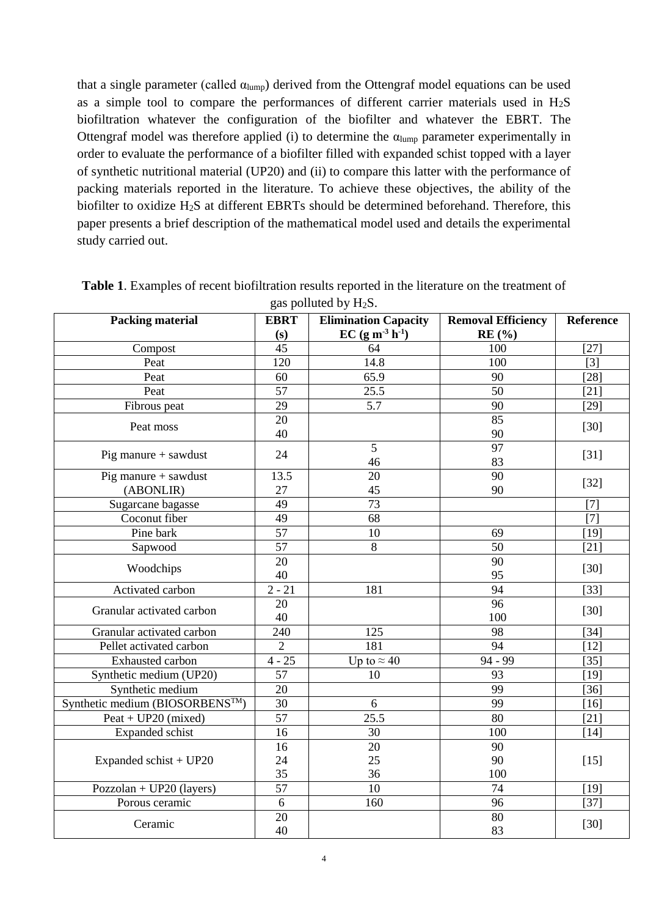that a single parameter (called  $\alpha_{\text{lump}}$ ) derived from the Ottengraf model equations can be used as a simple tool to compare the performances of different carrier materials used in  $H_2S$ biofiltration whatever the configuration of the biofilter and whatever the EBRT. The Ottengraf model was therefore applied (i) to determine the  $\alpha_{\text{lump}}$  parameter experimentally in order to evaluate the performance of a biofilter filled with expanded schist topped with a layer of synthetic nutritional material (UP20) and (ii) to compare this latter with the performance of packing materials reported in the literature. To achieve these objectives, the ability of the biofilter to oxidize H2S at different EBRTs should be determined beforehand. Therefore, this paper presents a brief description of the mathematical model used and details the experimental study carried out.

| <b>Packing material</b>        | ັ<br>$\mathbf{r}$<br><b>EBRT</b><br>(s) | <b>Elimination Capacity</b><br>$EC (g m-3 h-1)$ | <b>Removal Efficiency</b><br>RE(%) | Reference |  |
|--------------------------------|-----------------------------------------|-------------------------------------------------|------------------------------------|-----------|--|
| Compost                        | 45                                      | 64                                              | 100                                | $[27]$    |  |
| Peat                           | 120                                     | 14.8                                            | 100                                | $[3]$     |  |
| Peat                           | 60                                      | 65.9                                            | 90                                 | $[28]$    |  |
| Peat                           | 57                                      | 25.5                                            | 50                                 | $[21]$    |  |
| Fibrous peat                   | 29                                      | 5.7                                             | 90                                 | $[29]$    |  |
| Peat moss                      | 20                                      |                                                 | 85                                 |           |  |
|                                | 40                                      |                                                 | 90                                 | $[30]$    |  |
| Pig manure + sawdust           | 24                                      | 5<br>46                                         | 97<br>83                           | $[31]$    |  |
| Pig manure $+$ sawdust         | 13.5                                    | 20                                              | 90                                 |           |  |
| (ABONLIR)                      | 27                                      | 45                                              | 90                                 | $[32]$    |  |
| Sugarcane bagasse              | 49                                      | 73                                              |                                    | $[7]$     |  |
| Coconut fiber                  | 49                                      | 68                                              |                                    | $[7]$     |  |
| Pine bark                      | 57                                      | 10                                              | 69                                 | $[19]$    |  |
| Sapwood                        | 57                                      | 8                                               | 50                                 | $[21]$    |  |
| Woodchips                      | 20<br>40                                |                                                 | 90<br>95                           | $[30]$    |  |
| Activated carbon               | $2 - 21$                                | 181                                             | 94                                 | $[33]$    |  |
| Granular activated carbon      | 20<br>40                                |                                                 | 96<br>100                          | $[30]$    |  |
| Granular activated carbon      | 240                                     | 125                                             | 98                                 | $[34]$    |  |
| Pellet activated carbon        | $\overline{2}$                          | 181                                             | 94                                 | $[12]$    |  |
| Exhausted carbon               | $4 - 25$                                | Up to $\approx$ 40                              | 94 - 99                            | $[35]$    |  |
| Synthetic medium (UP20)        | 57                                      | 10                                              | 93                                 | $[19]$    |  |
| Synthetic medium               | 20                                      |                                                 | 99                                 | $[36]$    |  |
| Synthetic medium (BIOSORBENS™) | 30                                      | 6                                               | 99                                 | [16]      |  |
| $Peak + UP20$ (mixed)          | 57                                      | 25.5                                            | 80                                 | [21]      |  |
| <b>Expanded</b> schist         | 16                                      | 30                                              | 100                                | [14]      |  |
|                                | 16                                      | 20                                              | 90                                 |           |  |
| Expanded schist + UP20         | 24                                      | 25                                              | 90                                 | $[15]$    |  |
|                                | 35                                      | 36                                              | 100                                |           |  |
| Pozzolan + UP20 (layers)       | $\overline{57}$                         | 10                                              | 74                                 | $[19]$    |  |
| Porous ceramic                 | 6                                       | 160                                             | 96                                 | $[37]$    |  |
| Ceramic                        | 20<br>40                                |                                                 | 80<br>83                           | [30]      |  |

**Table 1**. Examples of recent biofiltration results reported in the literature on the treatment of gas polluted by  $H_2S$ .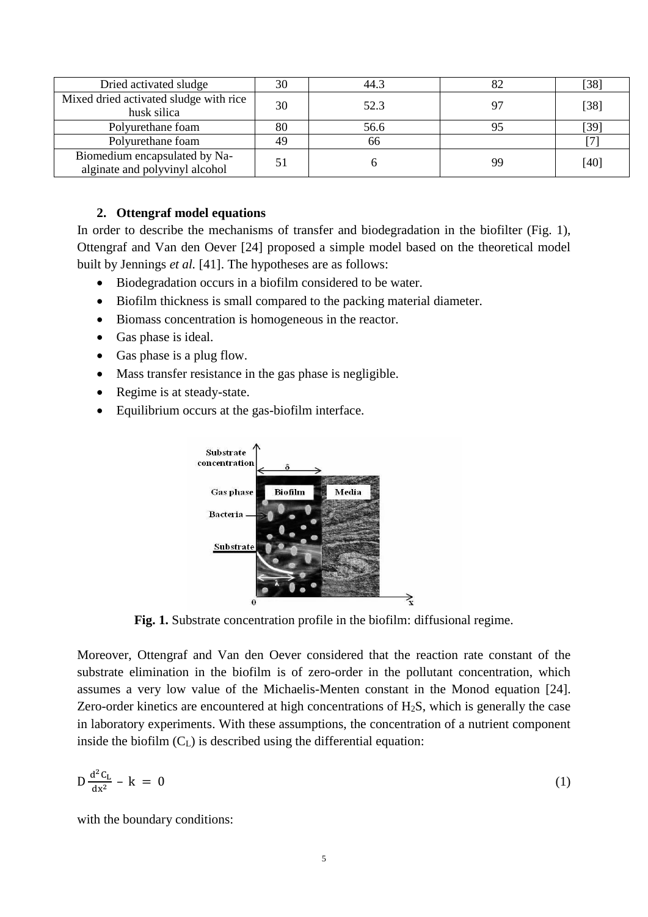| Dried activated sludge                                          | 30 | 44.3 |    | $\left\lceil 38\right\rceil$ |
|-----------------------------------------------------------------|----|------|----|------------------------------|
| Mixed dried activated sludge with rice<br>husk silica           | 30 | 52.3 |    | $[38]$                       |
| Polyurethane foam                                               | 80 | 56.6 |    | [39]                         |
| Polyurethane foam                                               | 49 | 66   |    |                              |
| Biomedium encapsulated by Na-<br>alginate and polyvinyl alcohol |    |      | 99 | [40]                         |

## **2. Ottengraf model equations**

In order to describe the mechanisms of transfer and biodegradation in the biofilter (Fig. 1), Ottengraf and Van den Oever [24] proposed a simple model based on the theoretical model built by Jennings *et al.* [41]. The hypotheses are as follows:

- Biodegradation occurs in a biofilm considered to be water.
- Biofilm thickness is small compared to the packing material diameter.
- Biomass concentration is homogeneous in the reactor.
- Gas phase is ideal.
- Gas phase is a plug flow.
- Mass transfer resistance in the gas phase is negligible.
- Regime is at steady-state.
- Equilibrium occurs at the gas-biofilm interface.



**Fig. 1.** Substrate concentration profile in the biofilm: diffusional regime.

Moreover, Ottengraf and Van den Oever considered that the reaction rate constant of the substrate elimination in the biofilm is of zero-order in the pollutant concentration, which assumes a very low value of the Michaelis-Menten constant in the Monod equation [24]. Zero-order kinetics are encountered at high concentrations of  $H_2S$ , which is generally the case in laboratory experiments. With these assumptions, the concentration of a nutrient component inside the biofilm  $(C_L)$  is described using the differential equation:

$$
D\frac{d^2C_L}{dx^2} - k = 0 \tag{1}
$$

with the boundary conditions: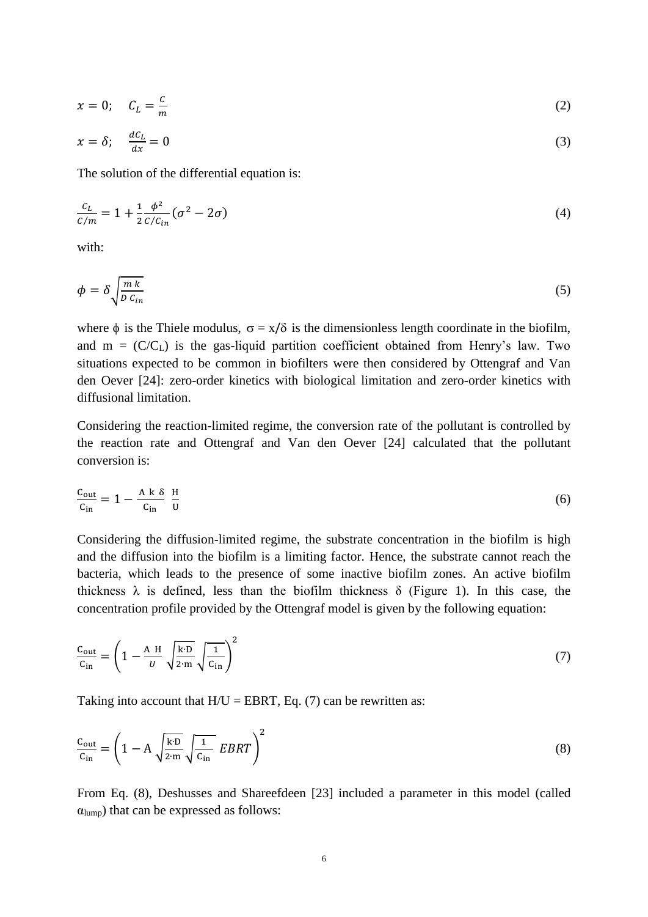$$
x = 0; \quad C_L = \frac{c}{m} \tag{2}
$$

$$
x = \delta; \quad \frac{d c_L}{dx} = 0 \tag{3}
$$

The solution of the differential equation is:

$$
\frac{c_L}{c/m} = 1 + \frac{1}{2} \frac{\phi^2}{c/c_{in}} (\sigma^2 - 2\sigma) \tag{4}
$$

with:

$$
\phi = \delta \sqrt{\frac{m k}{D c_{in}}} \tag{5}
$$

where  $\phi$  is the Thiele modulus,  $\sigma = x/\delta$  is the dimensionless length coordinate in the biofilm, and  $m = (C/C<sub>L</sub>)$  is the gas-liquid partition coefficient obtained from Henry's law. Two situations expected to be common in biofilters were then considered by Ottengraf and Van den Oever [24]: zero-order kinetics with biological limitation and zero-order kinetics with diffusional limitation.

Considering the reaction-limited regime, the conversion rate of the pollutant is controlled by the reaction rate and Ottengraf and Van den Oever [24] calculated that the pollutant conversion is:

$$
\frac{C_{\text{out}}}{C_{\text{in}}} = 1 - \frac{A k \delta}{C_{\text{in}}} \frac{H}{U}
$$
 (6)

Considering the diffusion-limited regime, the substrate concentration in the biofilm is high and the diffusion into the biofilm is a limiting factor. Hence, the substrate cannot reach the bacteria, which leads to the presence of some inactive biofilm zones. An active biofilm thickness  $\lambda$  is defined, less than the biofilm thickness  $\delta$  (Figure 1). In this case, the concentration profile provided by the Ottengraf model is given by the following equation:

$$
\frac{c_{\text{out}}}{c_{\text{in}}} = \left(1 - \frac{A}{U} \sqrt{\frac{k \cdot D}{2 \cdot m}} \sqrt{\frac{1}{c_{\text{in}}}}\right)^2 \tag{7}
$$

Taking into account that  $H/U = EBRT$ , Eq. (7) can be rewritten as:

$$
\frac{c_{\text{out}}}{c_{\text{in}}} = \left(1 - A \sqrt{\frac{k \cdot D}{2 \cdot m}} \sqrt{\frac{1}{c_{\text{in}}}} EBRT\right)^2
$$
\n(8)

From Eq. (8), Deshusses and Shareefdeen [23] included a parameter in this model (called  $\alpha$ <sub>lump</sub>) that can be expressed as follows: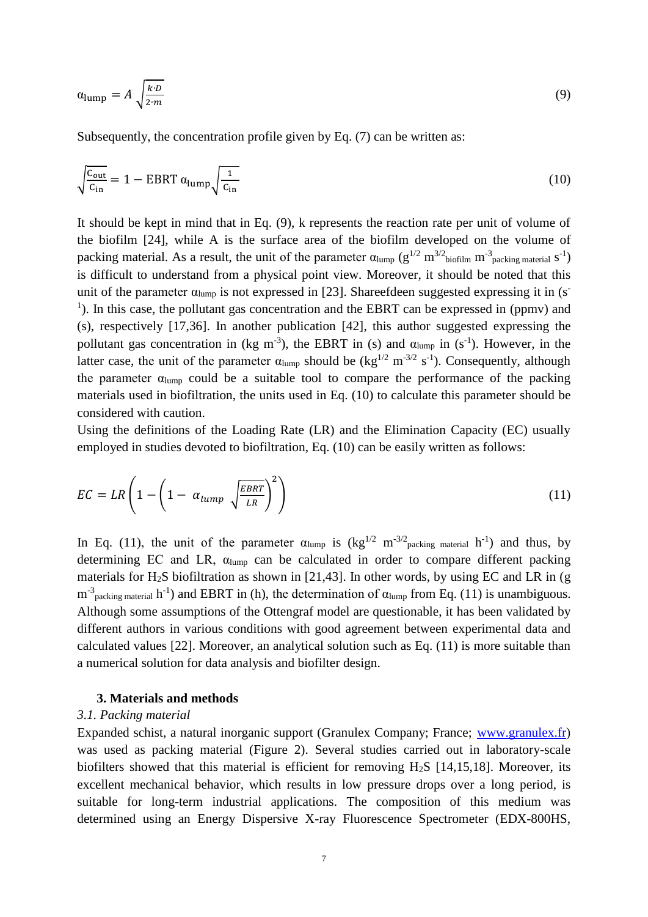$$
\alpha_{\text{lump}} = A \sqrt{\frac{k \cdot D}{2 \cdot m}} \tag{9}
$$

Subsequently, the concentration profile given by Eq. (7) can be written as:

$$
\sqrt{\frac{c_{\text{out}}}{c_{\text{in}}}} = 1 - \text{EBRT} \, \alpha_{\text{lump}} \sqrt{\frac{1}{c_{\text{in}}}}
$$
\n
$$
\tag{10}
$$

It should be kept in mind that in Eq. (9), k represents the reaction rate per unit of volume of the biofilm [24], while A is the surface area of the biofilm developed on the volume of packing material. As a result, the unit of the parameter  $\alpha_{\text{lump}} (g^{1/2} \text{ m}^{3/2} \text{biofilm m}^{-3} \text{packing material s}^{-1})$ is difficult to understand from a physical point view. Moreover, it should be noted that this unit of the parameter  $\alpha_{\text{lump}}$  is not expressed in [23]. Shareefdeen suggested expressing it in (s<sup>-</sup> <sup>1</sup>). In this case, the pollutant gas concentration and the EBRT can be expressed in (ppmv) and (s), respectively [17,36]. In another publication [42], this author suggested expressing the pollutant gas concentration in (kg m<sup>-3</sup>), the EBRT in (s) and  $\alpha_{\text{lump}}$  in (s<sup>-1</sup>). However, in the latter case, the unit of the parameter  $\alpha_{\text{lump}}$  should be  $(\text{kg}^{1/2} \text{ m}^{-3/2} \text{ s}^{-1})$ . Consequently, although the parameter  $\alpha_{\text{lump}}$  could be a suitable tool to compare the performance of the packing materials used in biofiltration, the units used in Eq. (10) to calculate this parameter should be considered with caution.

Using the definitions of the Loading Rate (LR) and the Elimination Capacity (EC) usually employed in studies devoted to biofiltration, Eq. (10) can be easily written as follows:

$$
EC = LR \left( 1 - \left( 1 - \alpha_{lump} \sqrt{\frac{EBRT}{LR}} \right)^2 \right)
$$
 (11)

In Eq. (11), the unit of the parameter  $\alpha_{\text{lump}}$  is  $(kg^{1/2} \text{ m}^{-3/2})_{\text{packing material}}$  h<sup>-1</sup>) and thus, by determining EC and LR,  $\alpha_{\text{lump}}$  can be calculated in order to compare different packing materials for H<sub>2</sub>S biofiltration as shown in [21,43]. In other words, by using EC and LR in (g)  $m^{-3}$ <sub>packing material</sub> h<sup>-1</sup>) and EBRT in (h), the determination of  $\alpha_{\text{lump}}$  from Eq. (11) is unambiguous. Although some assumptions of the Ottengraf model are questionable, it has been validated by different authors in various conditions with good agreement between experimental data and calculated values [22]. Moreover, an analytical solution such as Eq. (11) is more suitable than a numerical solution for data analysis and biofilter design.

#### **3. Materials and methods**

#### *3.1. Packing material*

Expanded schist, a natural inorganic support (Granulex Company; France; [www.granulex.fr\)](http://www.granulex.fr/) was used as packing material (Figure 2). Several studies carried out in laboratory-scale biofilters showed that this material is efficient for removing H2S [14,15,18]. Moreover, its excellent mechanical behavior, which results in low pressure drops over a long period, is suitable for long-term industrial applications. The composition of this medium was determined using an Energy Dispersive X-ray Fluorescence Spectrometer (EDX-800HS,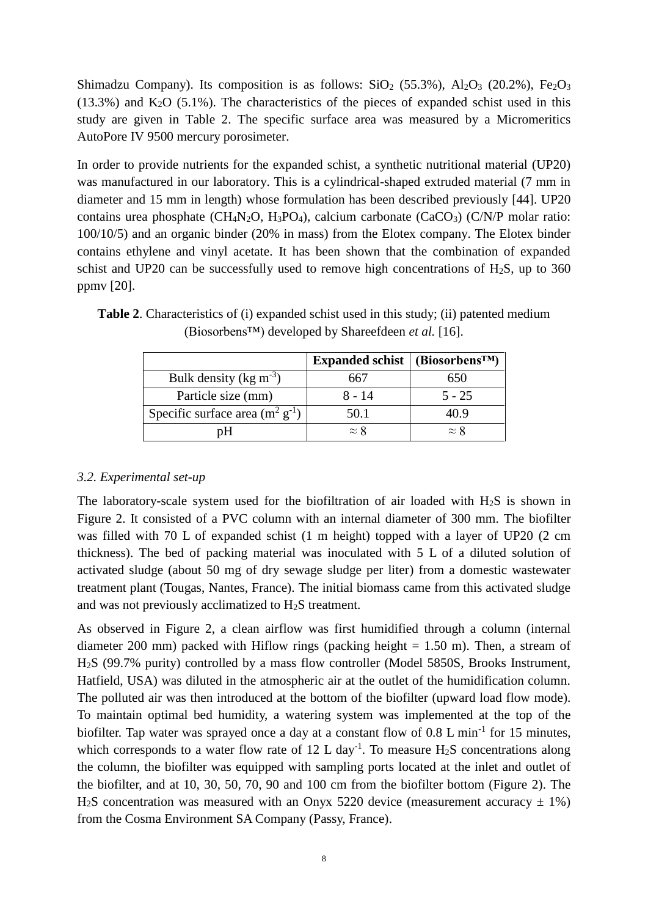Shimadzu Company). Its composition is as follows:  $SiO_2$  (55.3%),  $Al_2O_3$  (20.2%),  $Fe_2O_3$  $(13.3\%)$  and K<sub>2</sub>O  $(5.1\%)$ . The characteristics of the pieces of expanded schist used in this study are given in Table 2. The specific surface area was measured by a Micromeritics AutoPore IV 9500 mercury porosimeter.

In order to provide nutrients for the expanded schist, a synthetic nutritional material (UP20) was manufactured in our laboratory. This is a cylindrical-shaped extruded material (7 mm in diameter and 15 mm in length) whose formulation has been described previously [44]. UP20 contains urea phosphate (CH<sub>4</sub>N<sub>2</sub>O, H<sub>3</sub>PO<sub>4</sub>), calcium carbonate (CaCO<sub>3</sub>) (C/N/P molar ratio: 100/10/5) and an organic binder (20% in mass) from the Elotex company. The Elotex binder contains ethylene and vinyl acetate. It has been shown that the combination of expanded schist and UP20 can be successfully used to remove high concentrations of  $H_2S$ , up to 360 ppmv [20].

|                                      | Expanded schist   (Biosorbens <sup>TM</sup> ) |             |
|--------------------------------------|-----------------------------------------------|-------------|
| Bulk density ( $\text{kg m}^{-3}$ )  | 667                                           | 650         |
| Particle size (mm)                   | 8 - 14                                        | $5 - 25$    |
| Specific surface area $(m^2 g^{-1})$ | 50.1                                          | 40.9        |
| 'nΗ                                  | $\approx$ 8                                   | $\approx$ 8 |

**Table 2**. Characteristics of (i) expanded schist used in this study; (ii) patented medium (Biosorbens™) developed by Shareefdeen *et al.* [16].

# *3.2. Experimental set-up*

The laboratory-scale system used for the biofiltration of air loaded with  $H_2S$  is shown in Figure 2. It consisted of a PVC column with an internal diameter of 300 mm. The biofilter was filled with 70 L of expanded schist (1 m height) topped with a layer of UP20 (2 cm thickness). The bed of packing material was inoculated with 5 L of a diluted solution of activated sludge (about 50 mg of dry sewage sludge per liter) from a domestic wastewater treatment plant (Tougas, Nantes, France). The initial biomass came from this activated sludge and was not previously acclimatized to H2S treatment.

As observed in Figure 2, a clean airflow was first humidified through a column (internal diameter 200 mm) packed with Hiflow rings (packing height  $= 1.50$  m). Then, a stream of H2S (99.7% purity) controlled by a mass flow controller (Model 5850S, Brooks Instrument, Hatfield, USA) was diluted in the atmospheric air at the outlet of the humidification column. The polluted air was then introduced at the bottom of the biofilter (upward load flow mode). To maintain optimal bed humidity, a watering system was implemented at the top of the biofilter. Tap water was sprayed once a day at a constant flow of  $0.8$  L min<sup>-1</sup> for 15 minutes, which corresponds to a water flow rate of 12 L day<sup>-1</sup>. To measure  $H_2S$  concentrations along the column, the biofilter was equipped with sampling ports located at the inlet and outlet of the biofilter, and at 10, 30, 50, 70, 90 and 100 cm from the biofilter bottom (Figure 2). The H<sub>2</sub>S concentration was measured with an Onyx 5220 device (measurement accuracy  $\pm$  1%) from the Cosma Environment SA Company (Passy, France).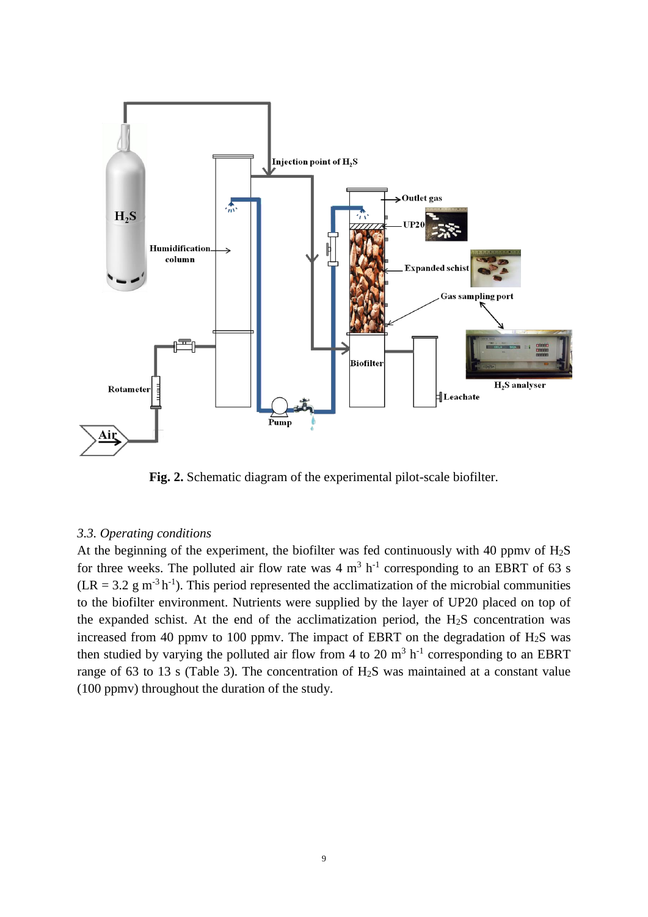

**Fig. 2.** Schematic diagram of the experimental pilot-scale biofilter.

## *3.3. Operating conditions*

At the beginning of the experiment, the biofilter was fed continuously with 40 ppmv of  $H_2S$ for three weeks. The polluted air flow rate was  $4 \text{ m}^3$  h<sup>-1</sup> corresponding to an EBRT of 63 s  $(LR = 3.2 \text{ g m}^{-3} \text{h}^{-1})$ . This period represented the acclimatization of the microbial communities to the biofilter environment. Nutrients were supplied by the layer of UP20 placed on top of the expanded schist. At the end of the acclimatization period, the  $H_2S$  concentration was increased from 40 ppmv to 100 ppmv. The impact of EBRT on the degradation of  $H_2S$  was then studied by varying the polluted air flow from 4 to 20  $m<sup>3</sup> h<sup>-1</sup>$  corresponding to an EBRT range of 63 to 13 s (Table 3). The concentration of H2S was maintained at a constant value (100 ppmv) throughout the duration of the study.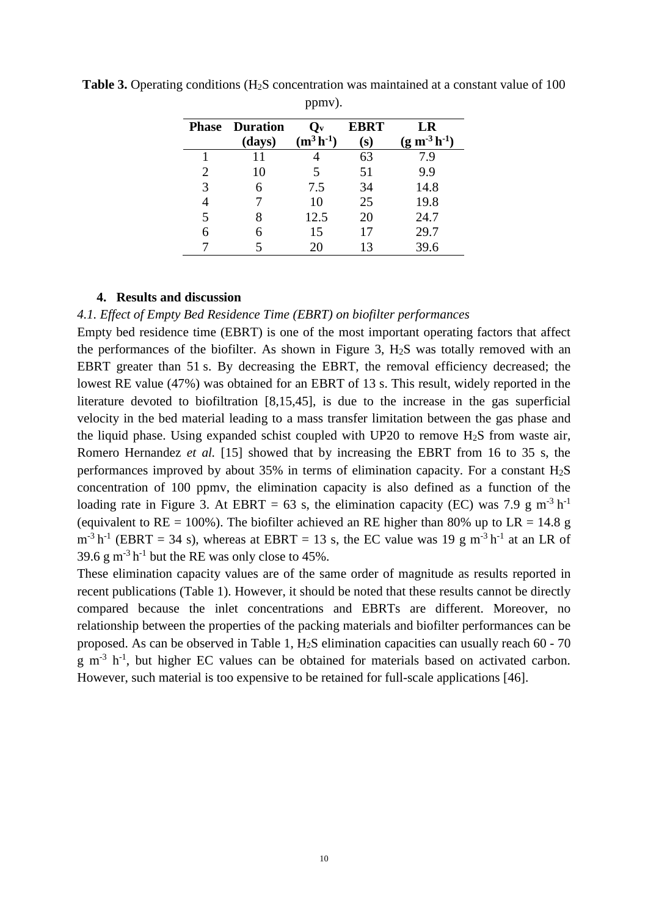|   | <b>Phase Duration</b> | $\mathbf{Q}_{\mathbf{v}}$ | <b>EBRT</b> | LR                  |
|---|-----------------------|---------------------------|-------------|---------------------|
|   | (days)                | $(m^3 h^{-1})$            | (s)         | $(g m^{-3} h^{-1})$ |
|   | 11                    |                           | 63          | 7.9                 |
| 2 | 10                    |                           | 51          | 9.9                 |
| 3 |                       | 7.5                       | 34          | 14.8                |
|   |                       | 10                        | 25          | 19.8                |
| 5 | 8                     | 12.5                      | 20          | 24.7                |
| 6 |                       | 15                        | 17          | 29.7                |
|   |                       | 20                        | 13          | 39.6                |

**Table 3.** Operating conditions (H<sub>2</sub>S concentration was maintained at a constant value of 100 ppmv).

### **4. Results and discussion**

*4.1. Effect of Empty Bed Residence Time (EBRT) on biofilter performances*

Empty bed residence time (EBRT) is one of the most important operating factors that affect the performances of the biofilter. As shown in Figure 3,  $H<sub>2</sub>S$  was totally removed with an EBRT greater than 51 s. By decreasing the EBRT, the removal efficiency decreased; the lowest RE value (47%) was obtained for an EBRT of 13 s. This result, widely reported in the literature devoted to biofiltration [8,15,45], is due to the increase in the gas superficial velocity in the bed material leading to a mass transfer limitation between the gas phase and the liquid phase. Using expanded schist coupled with UP20 to remove  $H<sub>2</sub>S$  from waste air, Romero Hernandez *et al.* [15] showed that by increasing the EBRT from 16 to 35 s, the performances improved by about 35% in terms of elimination capacity. For a constant  $H_2S$ concentration of 100 ppmv, the elimination capacity is also defined as a function of the loading rate in Figure 3. At EBRT = 63 s, the elimination capacity (EC) was 7.9 g m<sup>-3</sup> h<sup>-1</sup> (equivalent to RE = 100%). The biofilter achieved an RE higher than 80% up to LR = 14.8 g  $m^{-3} h^{-1}$  (EBRT = 34 s), whereas at EBRT = 13 s, the EC value was 19 g m<sup>-3</sup> h<sup>-1</sup> at an LR of 39.6 g m<sup>-3</sup> h<sup>-1</sup> but the RE was only close to 45%.

These elimination capacity values are of the same order of magnitude as results reported in recent publications (Table 1). However, it should be noted that these results cannot be directly compared because the inlet concentrations and EBRTs are different. Moreover, no relationship between the properties of the packing materials and biofilter performances can be proposed. As can be observed in Table 1, H2S elimination capacities can usually reach 60 - 70  $g$  m<sup>-3</sup> h<sup>-1</sup>, but higher EC values can be obtained for materials based on activated carbon. However, such material is too expensive to be retained for full-scale applications [46].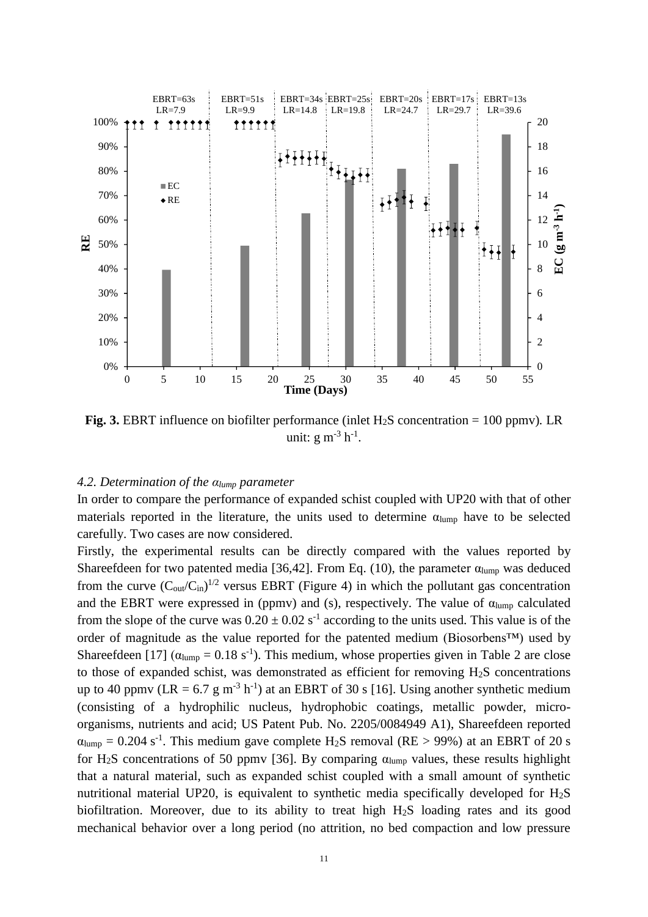

**Fig.** 3. EBRT influence on biofilter performance (inlet  $H_2S$  concentration = 100 ppmv). LR unit:  $g m^{-3} h^{-1}$ .

### *4.2. Determination of the αlump parameter*

In order to compare the performance of expanded schist coupled with UP20 with that of other materials reported in the literature, the units used to determine  $\alpha_{\text{lump}}$  have to be selected carefully. Two cases are now considered.

Firstly, the experimental results can be directly compared with the values reported by Shareefdeen for two patented media [36,42]. From Eq. (10), the parameter  $\alpha_{\text{lump}}$  was deduced from the curve  $(C_{out}/C_{in})^{1/2}$  versus EBRT (Figure 4) in which the pollutant gas concentration and the EBRT were expressed in (ppmv) and (s), respectively. The value of  $\alpha_{\text{lump}}$  calculated from the slope of the curve was  $0.20 \pm 0.02$  s<sup>-1</sup> according to the units used. This value is of the order of magnitude as the value reported for the patented medium (Biosorbens™) used by Shareefdeen [17]  $(\alpha_{\text{lump}} = 0.18 \text{ s}^{-1})$ . This medium, whose properties given in Table 2 are close to those of expanded schist, was demonstrated as efficient for removing  $H_2S$  concentrations up to 40 ppmv (LR = 6.7 g m<sup>-3</sup> h<sup>-1</sup>) at an EBRT of 30 s [16]. Using another synthetic medium (consisting of a hydrophilic nucleus, hydrophobic coatings, metallic powder, microorganisms, nutrients and acid; US Patent Pub. No. 2205/0084949 A1), Shareefdeen reported  $\alpha_{\text{lump}} = 0.204 \text{ s}^{-1}$ . This medium gave complete H<sub>2</sub>S removal (RE > 99%) at an EBRT of 20 s for H<sub>2</sub>S concentrations of 50 ppmv [36]. By comparing  $\alpha_{\text{lump}}$  values, these results highlight that a natural material, such as expanded schist coupled with a small amount of synthetic nutritional material UP20, is equivalent to synthetic media specifically developed for H2S biofiltration. Moreover, due to its ability to treat high H2S loading rates and its good mechanical behavior over a long period (no attrition, no bed compaction and low pressure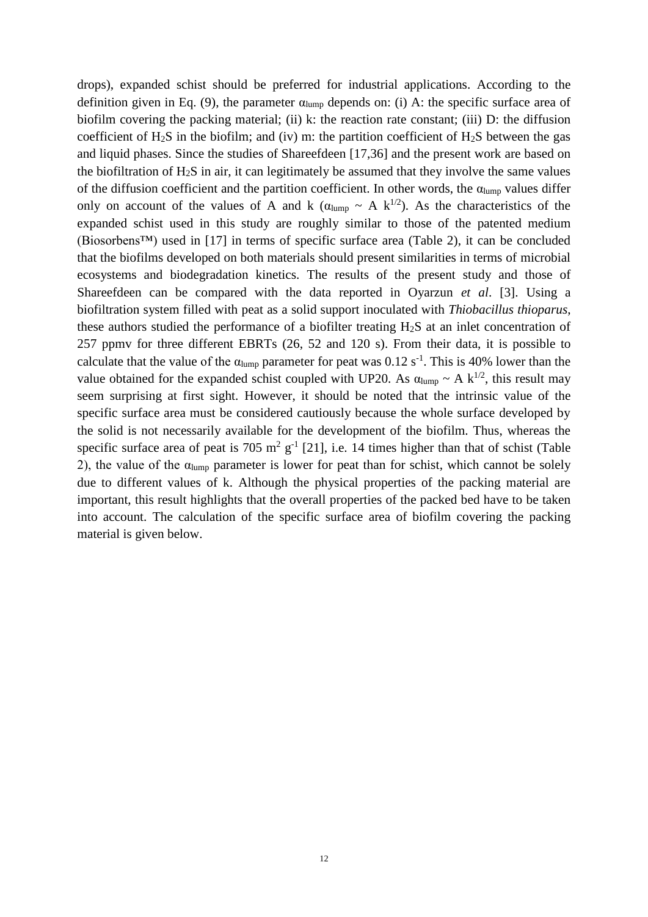drops), expanded schist should be preferred for industrial applications. According to the definition given in Eq. (9), the parameter  $\alpha_{\text{lump}}$  depends on: (i) A: the specific surface area of biofilm covering the packing material; (ii) k: the reaction rate constant; (iii) D: the diffusion coefficient of  $H_2S$  in the biofilm; and (iv) m: the partition coefficient of  $H_2S$  between the gas and liquid phases. Since the studies of Shareefdeen [17,36] and the present work are based on the biofiltration of  $H_2S$  in air, it can legitimately be assumed that they involve the same values of the diffusion coefficient and the partition coefficient. In other words, the  $\alpha_{\text{lump}}$  values differ only on account of the values of A and k ( $\alpha_{\text{lump}} \sim A k^{1/2}$ ). As the characteristics of the expanded schist used in this study are roughly similar to those of the patented medium (Biosorbens™) used in [17] in terms of specific surface area (Table 2), it can be concluded that the biofilms developed on both materials should present similarities in terms of microbial ecosystems and biodegradation kinetics. The results of the present study and those of Shareefdeen can be compared with the data reported in Oyarzun *et al*. [3]. Using a biofiltration system filled with peat as a solid support inoculated with *Thiobacillus thioparus*, these authors studied the performance of a biofilter treating H2S at an inlet concentration of 257 ppmv for three different EBRTs (26, 52 and 120 s). From their data, it is possible to calculate that the value of the  $\alpha_{\text{lump}}$  parameter for peat was 0.12 s<sup>-1</sup>. This is 40% lower than the value obtained for the expanded schist coupled with UP20. As  $\alpha_{\text{lump}} \sim A k^{1/2}$ , this result may seem surprising at first sight. However, it should be noted that the intrinsic value of the specific surface area must be considered cautiously because the whole surface developed by the solid is not necessarily available for the development of the biofilm. Thus, whereas the specific surface area of peat is 705  $m^2$  g<sup>-1</sup> [21], i.e. 14 times higher than that of schist (Table 2), the value of the  $\alpha_{\text{lump}}$  parameter is lower for peat than for schist, which cannot be solely due to different values of k. Although the physical properties of the packing material are important, this result highlights that the overall properties of the packed bed have to be taken into account. The calculation of the specific surface area of biofilm covering the packing material is given below.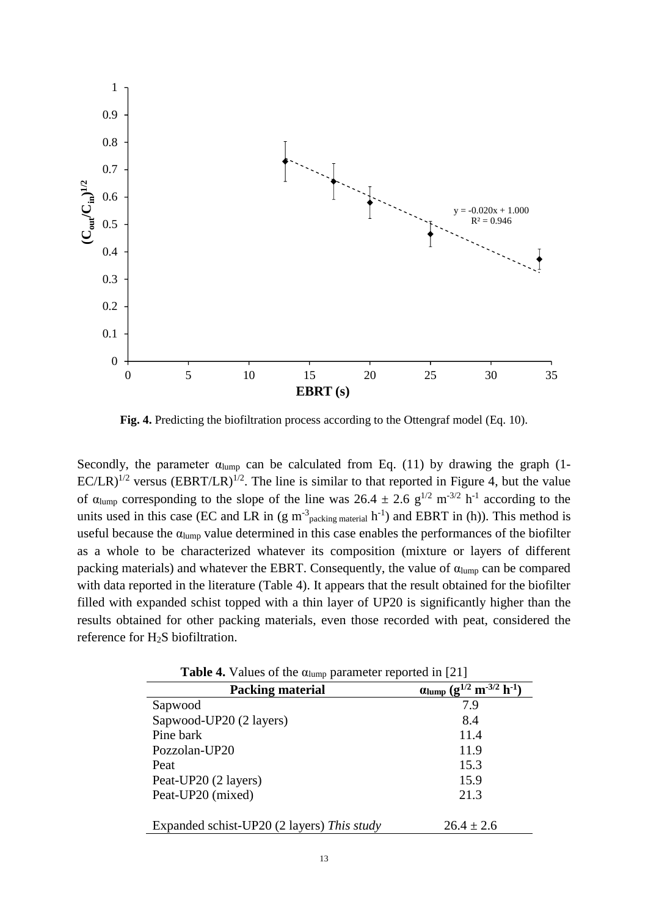

**Fig. 4.** Predicting the biofiltration process according to the Ottengraf model (Eq. 10).

Secondly, the parameter  $\alpha_{\text{lump}}$  can be calculated from Eq. (11) by drawing the graph (1- $EC/LR$ <sup> $1/2$ </sup> versus (EBRT/LR)<sup> $1/2$ </sup>. The line is similar to that reported in Figure 4, but the value of  $\alpha_{\text{lump}}$  corresponding to the slope of the line was  $26.4 \pm 2.6$  g<sup>1/2</sup> m<sup>-3/2</sup> h<sup>-1</sup> according to the units used in this case (EC and LR in (g m<sup>-3</sup> packing material  $h^{-1}$ ) and EBRT in (h)). This method is useful because the  $\alpha_{\text{lump}}$  value determined in this case enables the performances of the biofilter as a whole to be characterized whatever its composition (mixture or layers of different packing materials) and whatever the EBRT. Consequently, the value of  $\alpha_{\text{lump}}$  can be compared with data reported in the literature (Table 4). It appears that the result obtained for the biofilter filled with expanded schist topped with a thin layer of UP20 is significantly higher than the results obtained for other packing materials, even those recorded with peat, considered the reference for H2S biofiltration.

| <b>Table 4.</b> Values of the $\alpha$ <sub>lump</sub> parameter reported in [21] |                                                           |  |
|-----------------------------------------------------------------------------------|-----------------------------------------------------------|--|
| <b>Packing material</b>                                                           | $\alpha$ lump $(g^{1/2} \text{ m}^{-3/2} \text{ h}^{-1})$ |  |
| Sapwood                                                                           | 7.9                                                       |  |
| Sapwood-UP20 (2 layers)                                                           | 8.4                                                       |  |
| Pine bark                                                                         | 11.4                                                      |  |
| Pozzolan-UP20                                                                     | 11.9                                                      |  |
| Peat                                                                              | 15.3                                                      |  |
| Peat-UP20 (2 layers)                                                              | 15.9                                                      |  |
| Peat-UP20 (mixed)                                                                 | 21.3                                                      |  |
| Expanded schist-UP20 (2 layers) This study                                        | $26.4 \pm 2.6$                                            |  |

Table 4. Values of the  $\alpha$ <sub>u</sub> parameter reported in [21]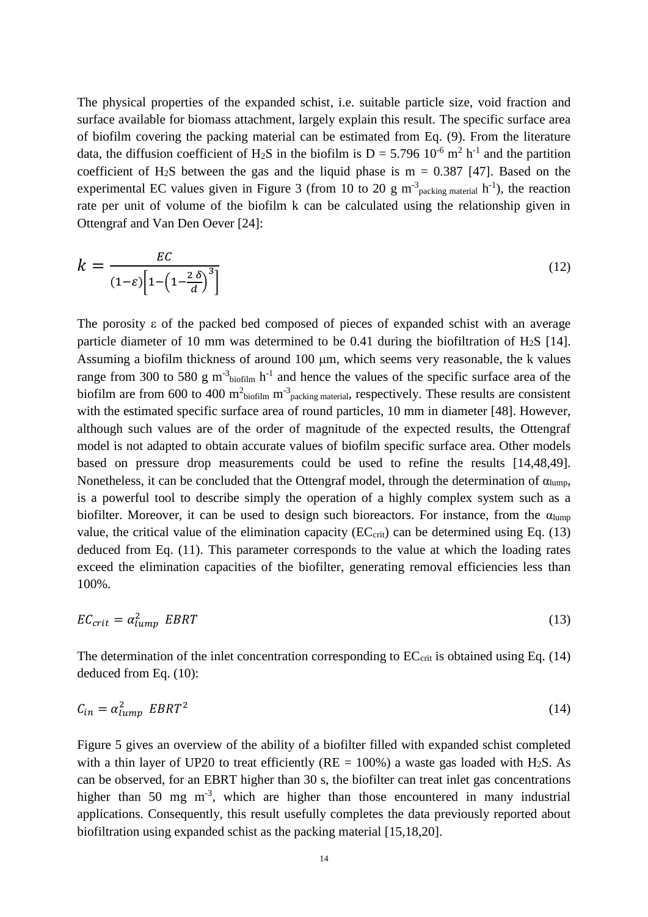The physical properties of the expanded schist, i.e. suitable particle size, void fraction and surface available for biomass attachment, largely explain this result. The specific surface area of biofilm covering the packing material can be estimated from Eq. (9). From the literature data, the diffusion coefficient of H<sub>2</sub>S in the biofilm is  $D = 5.796 \, 10^{-6} \, \text{m}^2 \, \text{h}^{-1}$  and the partition coefficient of H<sub>2</sub>S between the gas and the liquid phase is  $m = 0.387$  [47]. Based on the experimental EC values given in Figure 3 (from 10 to 20 g  $m^{-3}$  packing material  $h^{-1}$ ), the reaction rate per unit of volume of the biofilm k can be calculated using the relationship given in Ottengraf and Van Den Oever [24]:

$$
k = \frac{EC}{(1-\varepsilon)\left[1-\left(1-\frac{2\,\delta}{d}\right)^3\right]}
$$
(12)

The porosity  $\varepsilon$  of the packed bed composed of pieces of expanded schist with an average particle diameter of 10 mm was determined to be 0.41 during the biofiltration of  $H<sub>2</sub>S$  [14]. Assuming a biofilm thickness of around  $100 \mu m$ , which seems very reasonable, the k values range from 300 to 580 g m<sup>-3</sup>biofilm h<sup>-1</sup> and hence the values of the specific surface area of the biofilm are from 600 to 400  $m^2$ biofilm  $m^3$  packing material, respectively. These results are consistent with the estimated specific surface area of round particles, 10 mm in diameter [48]. However, although such values are of the order of magnitude of the expected results, the Ottengraf model is not adapted to obtain accurate values of biofilm specific surface area. Other models based on pressure drop measurements could be used to refine the results [14,48,49]. Nonetheless, it can be concluded that the Ottengraf model, through the determination of  $\alpha_{\text{lump}}$ , is a powerful tool to describe simply the operation of a highly complex system such as a biofilter. Moreover, it can be used to design such bioreactors. For instance, from the  $\alpha_{\text{lump}}$ value, the critical value of the elimination capacity ( $EC<sub>crit</sub>$ ) can be determined using Eq. (13) deduced from Eq. (11). This parameter corresponds to the value at which the loading rates exceed the elimination capacities of the biofilter, generating removal efficiencies less than 100%.

$$
EC_{crit} = \alpha_{lump}^2 \ EBRT \tag{13}
$$

The determination of the inlet concentration corresponding to  $EC<sub>crit</sub>$  is obtained using Eq. (14) deduced from Eq. (10):

$$
C_{in} = \alpha_{lump}^2 \ EBRT^2 \tag{14}
$$

Figure 5 gives an overview of the ability of a biofilter filled with expanded schist completed with a thin layer of UP20 to treat efficiently ( $RE = 100\%$ ) a waste gas loaded with H<sub>2</sub>S. As can be observed, for an EBRT higher than 30 s, the biofilter can treat inlet gas concentrations higher than 50 mg  $m^{-3}$ , which are higher than those encountered in many industrial applications. Consequently, this result usefully completes the data previously reported about biofiltration using expanded schist as the packing material [15,18,20].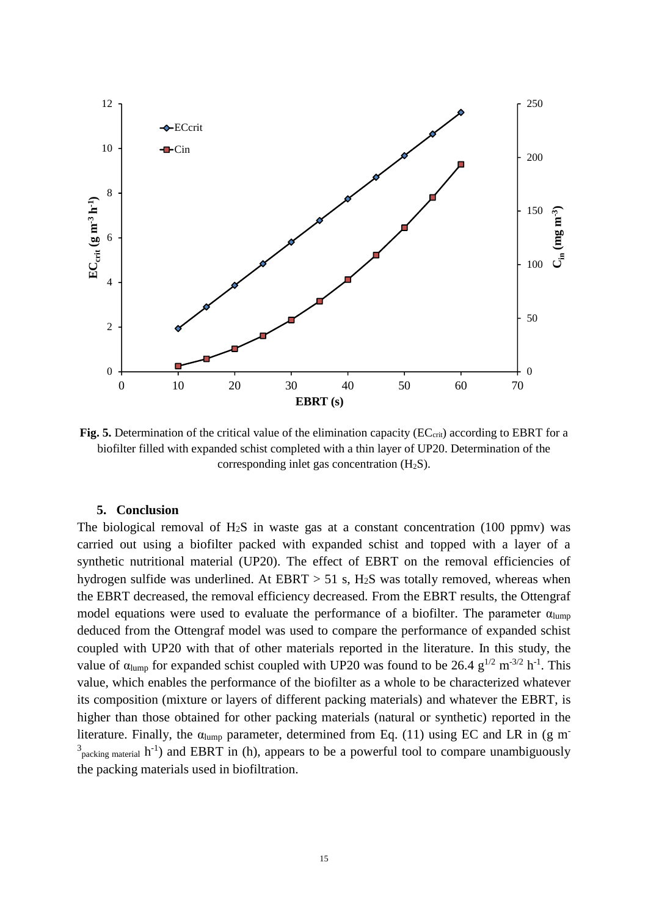

**Fig.** 5. Determination of the critical value of the elimination capacity ( $EC_{\text{crit}}$ ) according to EBRT for a biofilter filled with expanded schist completed with a thin layer of UP20. Determination of the corresponding inlet gas concentration  $(H_2S)$ .

#### **5. Conclusion**

The biological removal of  $H_2S$  in waste gas at a constant concentration (100 ppmv) was carried out using a biofilter packed with expanded schist and topped with a layer of a synthetic nutritional material (UP20). The effect of EBRT on the removal efficiencies of hydrogen sulfide was underlined. At  $EBRT > 51$  s,  $H_2S$  was totally removed, whereas when the EBRT decreased, the removal efficiency decreased. From the EBRT results, the Ottengraf model equations were used to evaluate the performance of a biofilter. The parameter  $\alpha_{\text{lump}}$ deduced from the Ottengraf model was used to compare the performance of expanded schist coupled with UP20 with that of other materials reported in the literature. In this study, the value of  $\alpha_{\text{lump}}$  for expanded schist coupled with UP20 was found to be 26.4  $g^{1/2}$  m<sup>-3/2</sup> h<sup>-1</sup>. This value, which enables the performance of the biofilter as a whole to be characterized whatever its composition (mixture or layers of different packing materials) and whatever the EBRT, is higher than those obtained for other packing materials (natural or synthetic) reported in the literature. Finally, the  $\alpha$ <sub>lump</sub> parameter, determined from Eq. (11) using EC and LR in (g m<sup>-</sup>  $3$ <sub>packing material</sub> h<sup>-1</sup>) and EBRT in (h), appears to be a powerful tool to compare unambiguously the packing materials used in biofiltration.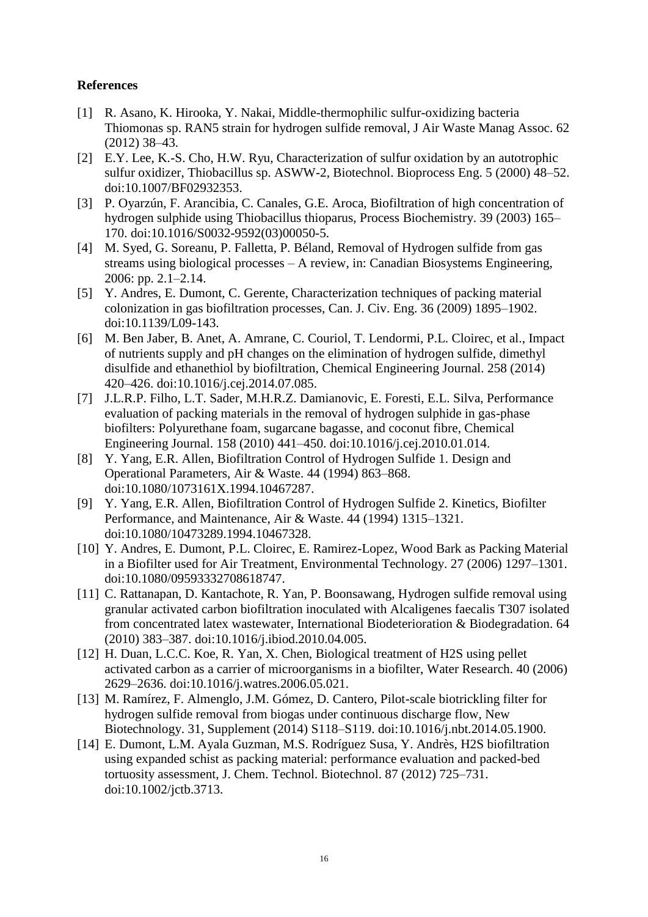## **References**

- [1] R. Asano, K. Hirooka, Y. Nakai, Middle-thermophilic sulfur-oxidizing bacteria Thiomonas sp. RAN5 strain for hydrogen sulfide removal, J Air Waste Manag Assoc. 62 (2012) 38–43.
- [2] E.Y. Lee, K.-S. Cho, H.W. Ryu, Characterization of sulfur oxidation by an autotrophic sulfur oxidizer, Thiobacillus sp. ASWW-2, Biotechnol. Bioprocess Eng. 5 (2000) 48–52. doi:10.1007/BF02932353.
- [3] P. Oyarzún, F. Arancibia, C. Canales, G.E. Aroca, Biofiltration of high concentration of hydrogen sulphide using Thiobacillus thioparus, Process Biochemistry. 39 (2003) 165– 170. doi:10.1016/S0032-9592(03)00050-5.
- [4] M. Syed, G. Soreanu, P. Falletta, P. Béland, Removal of Hydrogen sulfide from gas streams using biological processes – A review, in: Canadian Biosystems Engineering, 2006: pp. 2.1–2.14.
- [5] Y. Andres, E. Dumont, C. Gerente, Characterization techniques of packing material colonization in gas biofiltration processes, Can. J. Civ. Eng. 36 (2009) 1895–1902. doi:10.1139/L09-143.
- [6] M. Ben Jaber, B. Anet, A. Amrane, C. Couriol, T. Lendormi, P.L. Cloirec, et al., Impact of nutrients supply and pH changes on the elimination of hydrogen sulfide, dimethyl disulfide and ethanethiol by biofiltration, Chemical Engineering Journal. 258 (2014) 420–426. doi:10.1016/j.cej.2014.07.085.
- [7] J.L.R.P. Filho, L.T. Sader, M.H.R.Z. Damianovic, E. Foresti, E.L. Silva, Performance evaluation of packing materials in the removal of hydrogen sulphide in gas-phase biofilters: Polyurethane foam, sugarcane bagasse, and coconut fibre, Chemical Engineering Journal. 158 (2010) 441–450. doi:10.1016/j.cej.2010.01.014.
- [8] Y. Yang, E.R. Allen, Biofiltration Control of Hydrogen Sulfide 1. Design and Operational Parameters, Air & Waste. 44 (1994) 863–868. doi:10.1080/1073161X.1994.10467287.
- [9] Y. Yang, E.R. Allen, Biofiltration Control of Hydrogen Sulfide 2. Kinetics, Biofilter Performance, and Maintenance, Air & Waste. 44 (1994) 1315–1321. doi:10.1080/10473289.1994.10467328.
- [10] Y. Andres, E. Dumont, P.L. Cloirec, E. Ramirez-Lopez, Wood Bark as Packing Material in a Biofilter used for Air Treatment, Environmental Technology. 27 (2006) 1297–1301. doi:10.1080/09593332708618747.
- [11] C. Rattanapan, D. Kantachote, R. Yan, P. Boonsawang, Hydrogen sulfide removal using granular activated carbon biofiltration inoculated with Alcaligenes faecalis T307 isolated from concentrated latex wastewater, International Biodeterioration & Biodegradation. 64 (2010) 383–387. doi:10.1016/j.ibiod.2010.04.005.
- [12] H. Duan, L.C.C. Koe, R. Yan, X. Chen, Biological treatment of H2S using pellet activated carbon as a carrier of microorganisms in a biofilter, Water Research. 40 (2006) 2629–2636. doi:10.1016/j.watres.2006.05.021.
- [13] M. Ramírez, F. Almenglo, J.M. Gómez, D. Cantero, Pilot-scale biotrickling filter for hydrogen sulfide removal from biogas under continuous discharge flow, New Biotechnology. 31, Supplement (2014) S118–S119. doi:10.1016/j.nbt.2014.05.1900.
- [14] E. Dumont, L.M. Ayala Guzman, M.S. Rodríguez Susa, Y. Andrès, H2S biofiltration using expanded schist as packing material: performance evaluation and packed-bed tortuosity assessment, J. Chem. Technol. Biotechnol. 87 (2012) 725–731. doi:10.1002/jctb.3713.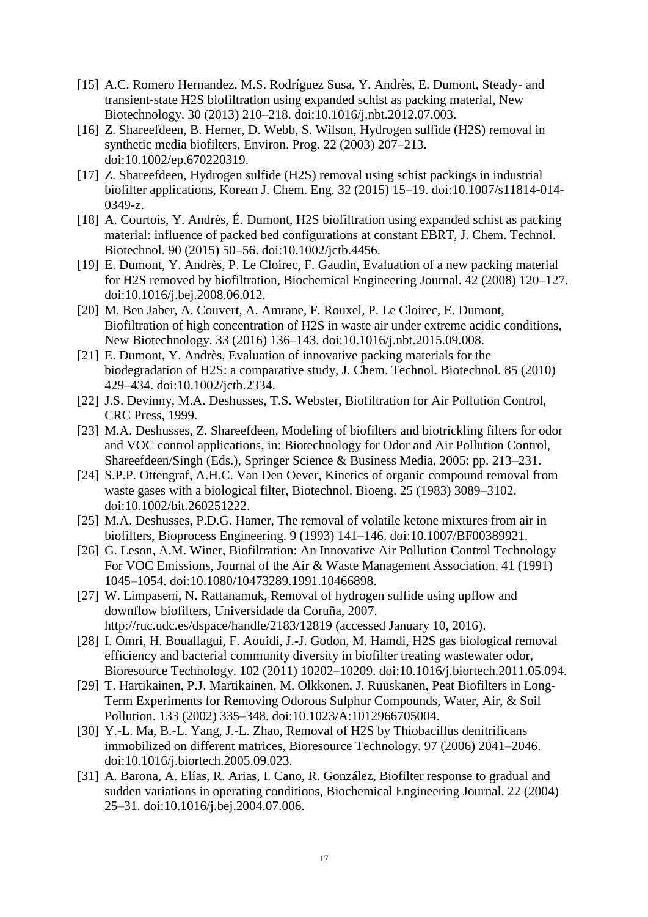- [15] A.C. Romero Hernandez, M.S. Rodríguez Susa, Y. Andrès, E. Dumont, Steady- and transient-state H2S biofiltration using expanded schist as packing material, New Biotechnology. 30 (2013) 210–218. doi:10.1016/j.nbt.2012.07.003.
- [16] Z. Shareefdeen, B. Herner, D. Webb, S. Wilson, Hydrogen sulfide (H2S) removal in synthetic media biofilters, Environ. Prog. 22 (2003) 207–213. doi:10.1002/ep.670220319.
- [17] Z. Shareefdeen, Hydrogen sulfide (H2S) removal using schist packings in industrial biofilter applications, Korean J. Chem. Eng. 32 (2015) 15–19. doi:10.1007/s11814-014- 0349-z.
- [18] A. Courtois, Y. Andrès, É. Dumont, H2S biofiltration using expanded schist as packing material: influence of packed bed configurations at constant EBRT, J. Chem. Technol. Biotechnol. 90 (2015) 50–56. doi:10.1002/jctb.4456.
- [19] E. Dumont, Y. Andrès, P. Le Cloirec, F. Gaudin, Evaluation of a new packing material for H2S removed by biofiltration, Biochemical Engineering Journal. 42 (2008) 120–127. doi:10.1016/j.bej.2008.06.012.
- [20] M. Ben Jaber, A. Couvert, A. Amrane, F. Rouxel, P. Le Cloirec, E. Dumont, Biofiltration of high concentration of H2S in waste air under extreme acidic conditions, New Biotechnology. 33 (2016) 136–143. doi:10.1016/j.nbt.2015.09.008.
- [21] E. Dumont, Y. Andrès, Evaluation of innovative packing materials for the biodegradation of H2S: a comparative study, J. Chem. Technol. Biotechnol. 85 (2010) 429–434. doi:10.1002/jctb.2334.
- [22] J.S. Devinny, M.A. Deshusses, T.S. Webster, Biofiltration for Air Pollution Control, CRC Press, 1999.
- [23] M.A. Deshusses, Z. Shareefdeen, Modeling of biofilters and biotrickling filters for odor and VOC control applications, in: Biotechnology for Odor and Air Pollution Control, Shareefdeen/Singh (Eds.), Springer Science & Business Media, 2005: pp. 213–231.
- [24] S.P.P. Ottengraf, A.H.C. Van Den Oever, Kinetics of organic compound removal from waste gases with a biological filter, Biotechnol. Bioeng. 25 (1983) 3089–3102. doi:10.1002/bit.260251222.
- [25] M.A. Deshusses, P.D.G. Hamer, The removal of volatile ketone mixtures from air in biofilters, Bioprocess Engineering. 9 (1993) 141–146. doi:10.1007/BF00389921.
- [26] G. Leson, A.M. Winer, Biofiltration: An Innovative Air Pollution Control Technology For VOC Emissions, Journal of the Air & Waste Management Association. 41 (1991) 1045–1054. doi:10.1080/10473289.1991.10466898.
- [27] W. Limpaseni, N. Rattanamuk, Removal of hydrogen sulfide using upflow and downflow biofilters, Universidade da Coruña, 2007. http://ruc.udc.es/dspace/handle/2183/12819 (accessed January 10, 2016).
- [28] I. Omri, H. Bouallagui, F. Aouidi, J.-J. Godon, M. Hamdi, H2S gas biological removal efficiency and bacterial community diversity in biofilter treating wastewater odor, Bioresource Technology. 102 (2011) 10202–10209. doi:10.1016/j.biortech.2011.05.094.
- [29] T. Hartikainen, P.J. Martikainen, M. Olkkonen, J. Ruuskanen, Peat Biofilters in Long-Term Experiments for Removing Odorous Sulphur Compounds, Water, Air, & Soil Pollution. 133 (2002) 335–348. doi:10.1023/A:1012966705004.
- [30] Y.-L. Ma, B.-L. Yang, J.-L. Zhao, Removal of H2S by Thiobacillus denitrificans immobilized on different matrices, Bioresource Technology. 97 (2006) 2041–2046. doi:10.1016/j.biortech.2005.09.023.
- [31] A. Barona, A. Elías, R. Arias, I. Cano, R. González, Biofilter response to gradual and sudden variations in operating conditions, Biochemical Engineering Journal. 22 (2004) 25–31. doi:10.1016/j.bej.2004.07.006.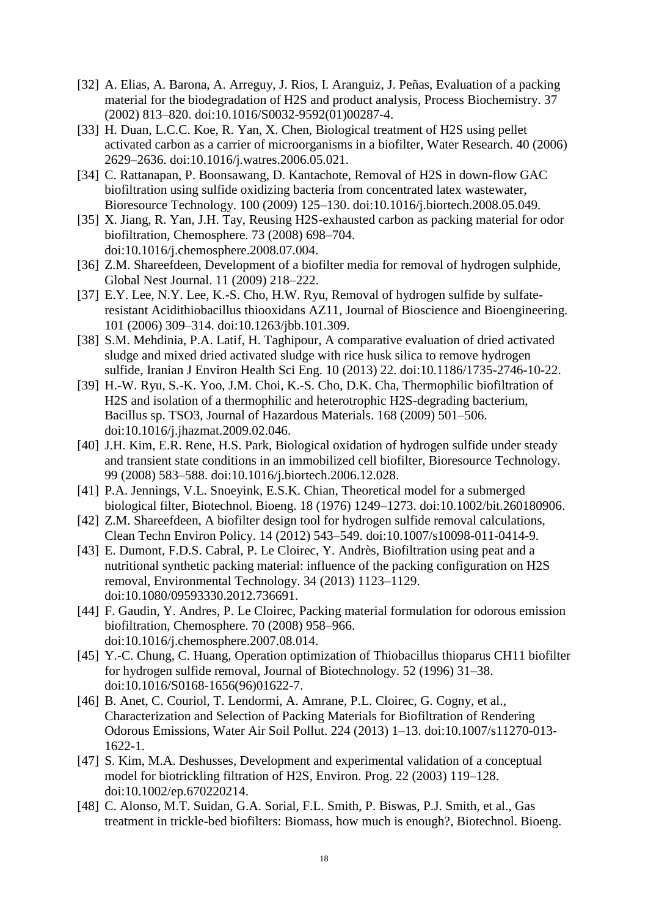- [32] A. Elias, A. Barona, A. Arreguy, J. Rios, I. Aranguiz, J. Peñas, Evaluation of a packing material for the biodegradation of H2S and product analysis, Process Biochemistry. 37 (2002) 813–820. doi:10.1016/S0032-9592(01)00287-4.
- [33] H. Duan, L.C.C. Koe, R. Yan, X. Chen, Biological treatment of H2S using pellet activated carbon as a carrier of microorganisms in a biofilter, Water Research. 40 (2006) 2629–2636. doi:10.1016/j.watres.2006.05.021.
- [34] C. Rattanapan, P. Boonsawang, D. Kantachote, Removal of H2S in down-flow GAC biofiltration using sulfide oxidizing bacteria from concentrated latex wastewater, Bioresource Technology. 100 (2009) 125–130. doi:10.1016/j.biortech.2008.05.049.
- [35] X. Jiang, R. Yan, J.H. Tay, Reusing H2S-exhausted carbon as packing material for odor biofiltration, Chemosphere. 73 (2008) 698–704. doi:10.1016/j.chemosphere.2008.07.004.
- [36] Z.M. Shareefdeen, Development of a biofilter media for removal of hydrogen sulphide, Global Nest Journal. 11 (2009) 218–222.
- [37] E.Y. Lee, N.Y. Lee, K.-S. Cho, H.W. Ryu, Removal of hydrogen sulfide by sulfateresistant Acidithiobacillus thiooxidans AZ11, Journal of Bioscience and Bioengineering. 101 (2006) 309–314. doi:10.1263/jbb.101.309.
- [38] S.M. Mehdinia, P.A. Latif, H. Taghipour, A comparative evaluation of dried activated sludge and mixed dried activated sludge with rice husk silica to remove hydrogen sulfide, Iranian J Environ Health Sci Eng. 10 (2013) 22. doi:10.1186/1735-2746-10-22.
- [39] H.-W. Ryu, S.-K. Yoo, J.M. Choi, K.-S. Cho, D.K. Cha, Thermophilic biofiltration of H2S and isolation of a thermophilic and heterotrophic H2S-degrading bacterium, Bacillus sp. TSO3, Journal of Hazardous Materials. 168 (2009) 501–506. doi:10.1016/j.jhazmat.2009.02.046.
- [40] J.H. Kim, E.R. Rene, H.S. Park, Biological oxidation of hydrogen sulfide under steady and transient state conditions in an immobilized cell biofilter, Bioresource Technology. 99 (2008) 583–588. doi:10.1016/j.biortech.2006.12.028.
- [41] P.A. Jennings, V.L. Snoeyink, E.S.K. Chian, Theoretical model for a submerged biological filter, Biotechnol. Bioeng. 18 (1976) 1249–1273. doi:10.1002/bit.260180906.
- [42] Z.M. Shareefdeen, A biofilter design tool for hydrogen sulfide removal calculations, Clean Techn Environ Policy. 14 (2012) 543–549. doi:10.1007/s10098-011-0414-9.
- [43] E. Dumont, F.D.S. Cabral, P. Le Cloirec, Y. Andrès, Biofiltration using peat and a nutritional synthetic packing material: influence of the packing configuration on H2S removal, Environmental Technology. 34 (2013) 1123–1129. doi:10.1080/09593330.2012.736691.
- [44] F. Gaudin, Y. Andres, P. Le Cloirec, Packing material formulation for odorous emission biofiltration, Chemosphere. 70 (2008) 958–966. doi:10.1016/j.chemosphere.2007.08.014.
- [45] Y.-C. Chung, C. Huang, Operation optimization of Thiobacillus thioparus CH11 biofilter for hydrogen sulfide removal, Journal of Biotechnology. 52 (1996) 31–38. doi:10.1016/S0168-1656(96)01622-7.
- [46] B. Anet, C. Couriol, T. Lendormi, A. Amrane, P.L. Cloirec, G. Cogny, et al., Characterization and Selection of Packing Materials for Biofiltration of Rendering Odorous Emissions, Water Air Soil Pollut. 224 (2013) 1–13. doi:10.1007/s11270-013- 1622-1.
- [47] S. Kim, M.A. Deshusses, Development and experimental validation of a conceptual model for biotrickling filtration of H2S, Environ. Prog. 22 (2003) 119–128. doi:10.1002/ep.670220214.
- [48] C. Alonso, M.T. Suidan, G.A. Sorial, F.L. Smith, P. Biswas, P.J. Smith, et al., Gas treatment in trickle-bed biofilters: Biomass, how much is enough?, Biotechnol. Bioeng.